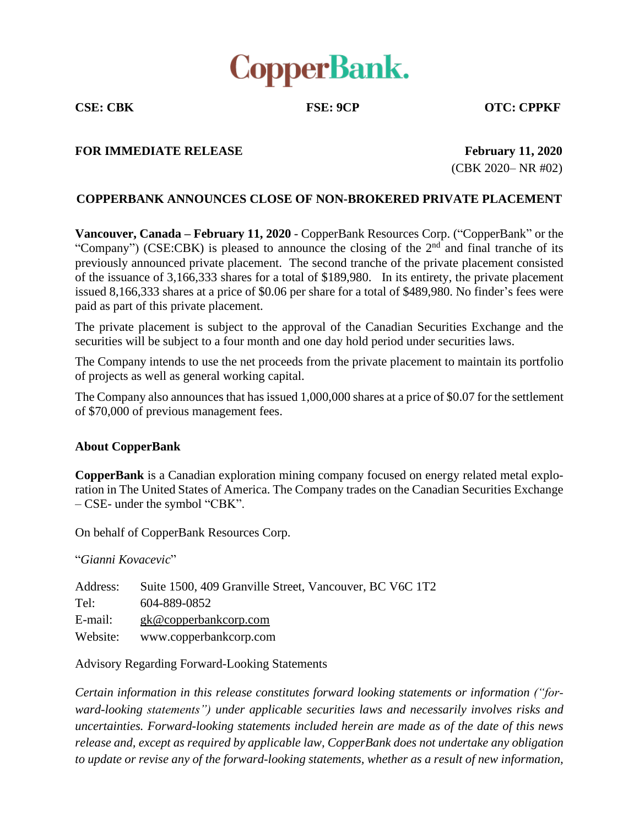

**CSE: CBK FSE: 9CP OTC: CPPKF**

## **FOR IMMEDIATE RELEASE February 11, 2020**

(CBK 2020– NR #02)

## **COPPERBANK ANNOUNCES CLOSE OF NON-BROKERED PRIVATE PLACEMENT**

**Vancouver, Canada – February 11, 2020** - CopperBank Resources Corp. ("CopperBank" or the "Company") (CSE:CBK) is pleased to announce the closing of the 2<sup>nd</sup> and final tranche of its previously announced private placement. The second tranche of the private placement consisted of the issuance of 3,166,333 shares for a total of \$189,980. In its entirety, the private placement issued 8,166,333 shares at a price of \$0.06 per share for a total of \$489,980. No finder's fees were paid as part of this private placement.

The private placement is subject to the approval of the Canadian Securities Exchange and the securities will be subject to a four month and one day hold period under securities laws.

The Company intends to use the net proceeds from the private placement to maintain its portfolio of projects as well as general working capital.

The Company also announces that has issued 1,000,000 shares at a price of \$0.07 for the settlement of \$70,000 of previous management fees.

## **About CopperBank**

**CopperBank** is a Canadian exploration mining company focused on energy related metal exploration in The United States of America. The Company trades on the Canadian Securities Exchange – CSE- under the symbol "CBK".

On behalf of CopperBank Resources Corp.

"*Gianni Kovacevic*"

| Address: | Suite 1500, 409 Granville Street, Vancouver, BC V6C 1T2 |
|----------|---------------------------------------------------------|
| Tel:     | 604-889-0852                                            |
| E-mail:  | $g k@$ copperbankcorp.com                               |
| Website: | www.copperbankcorp.com                                  |

Advisory Regarding Forward-Looking Statements

*Certain information in this release constitutes forward looking statements or information ("forward-looking statements") under applicable securities laws and necessarily involves risks and uncertainties. Forward-looking statements included herein are made as of the date of this news release and, except as required by applicable law, CopperBank does not undertake any obligation to update or revise any of the forward-looking statements, whether as a result of new information,*